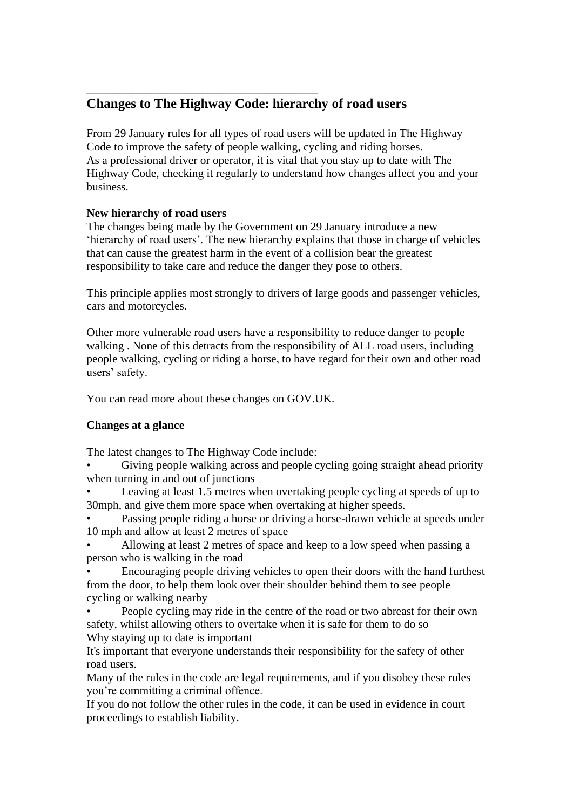# \_\_\_\_\_\_\_\_\_\_\_\_\_\_\_\_\_\_\_\_\_\_\_\_\_\_\_\_\_\_\_\_\_\_\_\_\_\_\_\_ **Changes to The Highway Code: hierarchy of road users**

From 29 January rules for all types of road users will be updated in The Highway Code to improve the safety of people walking, cycling and riding horses. As a professional driver or operator, it is vital that you stay up to date with The Highway Code, checking it regularly to understand how changes affect you and your business.

## **New hierarchy of road users**

The changes being made by the Government on 29 January introduce a new 'hierarchy of road users'. The new hierarchy explains that those in charge of vehicles that can cause the greatest harm in the event of a collision bear the greatest responsibility to take care and reduce the danger they pose to others.

This principle applies most strongly to drivers of large goods and passenger vehicles, cars and motorcycles.

Other more vulnerable road users have a responsibility to reduce danger to people walking . None of this detracts from the responsibility of ALL road users, including people walking, cycling or riding a horse, to have regard for their own and other road users' safety.

You can read more about these changes on GOV.UK.

## **Changes at a glance**

The latest changes to The Highway Code include:

Giving people walking across and people cycling going straight ahead priority when turning in and out of junctions

• Leaving at least 1.5 metres when overtaking people cycling at speeds of up to 30mph, and give them more space when overtaking at higher speeds.

Passing people riding a horse or driving a horse-drawn vehicle at speeds under 10 mph and allow at least 2 metres of space

• Allowing at least 2 metres of space and keep to a low speed when passing a person who is walking in the road

• Encouraging people driving vehicles to open their doors with the hand furthest from the door, to help them look over their shoulder behind them to see people cycling or walking nearby

• People cycling may ride in the centre of the road or two abreast for their own safety, whilst allowing others to overtake when it is safe for them to do so Why staying up to date is important

It's important that everyone understands their responsibility for the safety of other road users.

Many of the rules in the code are legal requirements, and if you disobey these rules you're committing a criminal offence.

If you do not follow the other rules in the code, it can be used in evidence in court proceedings to establish liability.